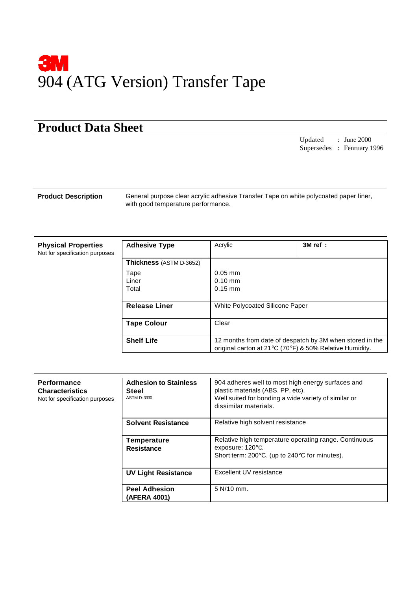

## **Product Data Sheet**

Updated : June 2000 Supersedes : Fenruary 1996

**Product Description** General purpose clear acrylic adhesive Transfer Tape on white polycoated paper liner, with good temperature performance.

**Physical Properties** Not for specification purposes

|                                                                                                                     | 3M ref : |
|---------------------------------------------------------------------------------------------------------------------|----------|
|                                                                                                                     |          |
| $0.05$ mm<br>$0.10$ mm<br>$0.15$ mm                                                                                 |          |
| <b>White Polycoated Silicone Paper</b>                                                                              |          |
| Clear                                                                                                               |          |
| 12 months from date of despatch by 3M when stored in the<br>original carton at 21°C (70°F) & 50% Relative Humidity. |          |
|                                                                                                                     |          |

| <b>Performance</b><br><b>Characteristics</b><br>Not for specification purposes | <b>Adhesion to Stainless</b><br>Steel<br><b>ASTM D-3330</b> | 904 adheres well to most high energy surfaces and<br>plastic materials (ABS, PP, etc).<br>Well suited for bonding a wide variety of similar or<br>dissimilar materials. |
|--------------------------------------------------------------------------------|-------------------------------------------------------------|-------------------------------------------------------------------------------------------------------------------------------------------------------------------------|
|                                                                                | <b>Solvent Resistance</b>                                   | Relative high solvent resistance                                                                                                                                        |
|                                                                                | <b>Temperature</b><br><b>Resistance</b>                     | Relative high temperature operating range. Continuous<br>exposure: $120^{\circ}$ C.<br>Short term: 200°C. (up to 240°C for minutes).                                    |
|                                                                                | <b>UV Light Resistance</b>                                  | Excellent UV resistance                                                                                                                                                 |
|                                                                                | <b>Peel Adhesion</b><br>(AFERA 4001)                        | 5 N/10 mm.                                                                                                                                                              |